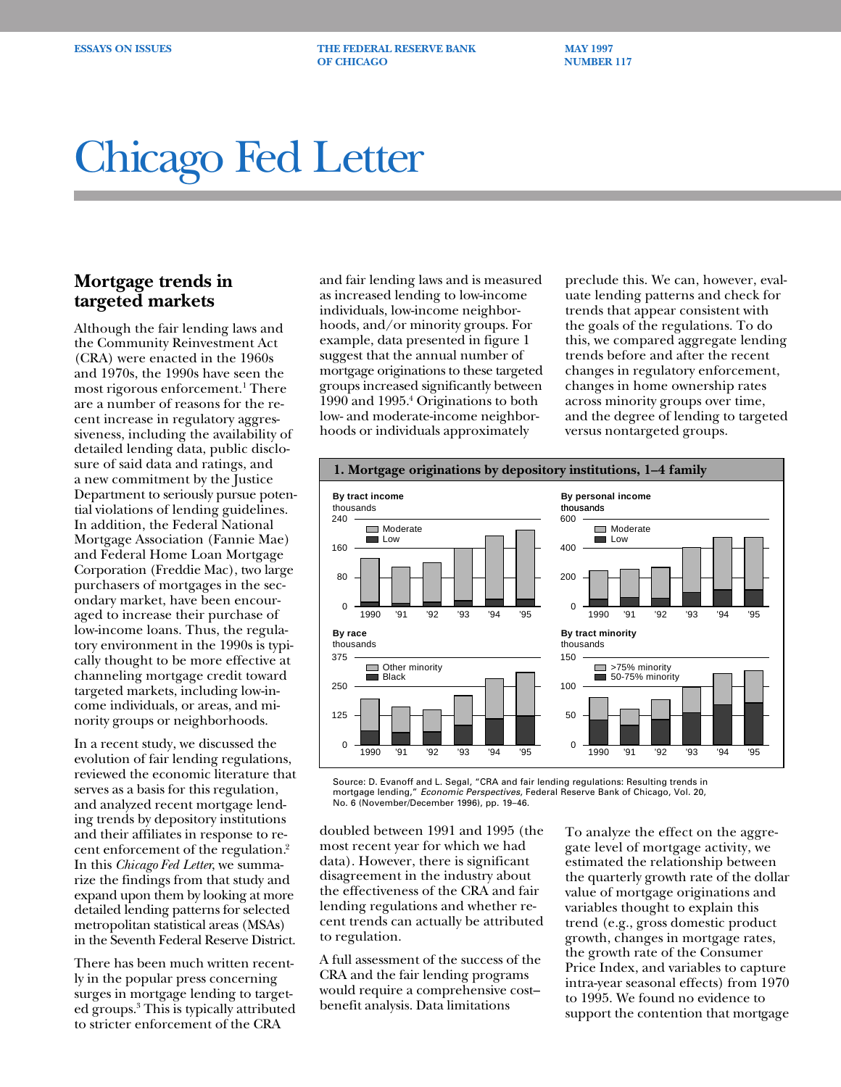**ESSAYS ON ISSUES THE FEDERAL RESERVE BANK MAY 1997 OF CHICAGO NUMBER 117** 

## Chicago Fed Letter

## **Mortgage trends in targeted markets**

Although the fair lending laws and the Community Reinvestment Act (CRA) were enacted in the 1960s and 1970s, the 1990s have seen the most rigorous enforcement.<sup>1</sup> There are a number of reasons for the recent increase in regulatory aggressiveness, including the availability of detailed lending data, public disclosure of said data and ratings, and a new commitment by the Justice Department to seriously pursue potential violations of lending guidelines. In addition, the Federal National Mortgage Association (Fannie Mae) and Federal Home Loan Mortgage Corporation (Freddie Mac), two large purchasers of mortgages in the secondary market, have been encouraged to increase their purchase of low-income loans. Thus, the regulatory environment in the 1990s is typically thought to be more effective at channeling mortgage credit toward targeted markets, including low-income individuals, or areas, and minority groups or neighborhoods.

In a recent study, we discussed the evolution of fair lending regulations, reviewed the economic literature that serves as a basis for this regulation, and analyzed recent mortgage lending trends by depository institutions and their affiliates in response to recent enforcement of the regulation.2 In this *Chicago Fed Letter*, we summarize the findings from that study and expand upon them by looking at more detailed lending patterns for selected metropolitan statistical areas (MSAs) in the Seventh Federal Reserve District.

There has been much written recently in the popular press concerning surges in mortgage lending to targeted groups.3 This is typically attributed to stricter enforcement of the CRA

and fair lending laws and is measured as increased lending to low-income individuals, low-income neighborhoods, and/or minority groups. For example, data presented in figure 1 suggest that the annual number of mortgage originations to these targeted groups increased significantly between 1990 and 1995.4 Originations to both low- and moderate-income neighborhoods or individuals approximately

preclude this. We can, however, evaluate lending patterns and check for trends that appear consistent with the goals of the regulations. To do this, we compared aggregate lending trends before and after the recent changes in regulatory enforcement, changes in home ownership rates across minority groups over time, and the degree of lending to targeted versus nontargeted groups.



Source: D. Evanoff and L. Segal, "CRA and fair lending regulations: Resulting trends in mortgage lending," Economic Perspectives, Federal Reserve Bank of Chicago, Vol. 20, No. 6 (November/December 1996), pp. 19–46.

doubled between 1991 and 1995 (the most recent year for which we had data). However, there is significant disagreement in the industry about the effectiveness of the CRA and fair lending regulations and whether recent trends can actually be attributed to regulation.

A full assessment of the success of the CRA and the fair lending programs would require a comprehensive cost– benefit analysis. Data limitations

To analyze the effect on the aggregate level of mortgage activity, we estimated the relationship between the quarterly growth rate of the dollar value of mortgage originations and variables thought to explain this trend (e.g., gross domestic product growth, changes in mortgage rates, the growth rate of the Consumer Price Index, and variables to capture intra-year seasonal effects) from 1970 to 1995. We found no evidence to support the contention that mortgage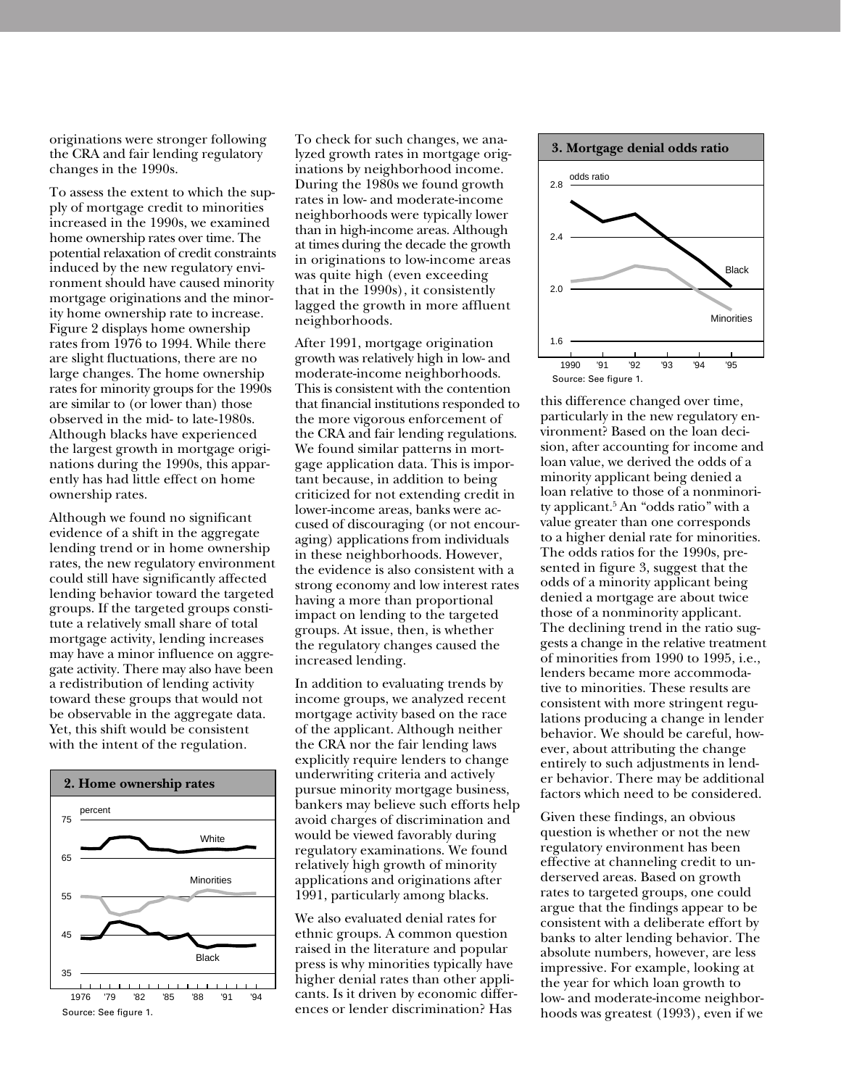originations were stronger following the CRA and fair lending regulatory changes in the 1990s.

To assess the extent to which the supply of mortgage credit to minorities increased in the 1990s, we examined home ownership rates over time. The potential relaxation of credit constraints induced by the new regulatory environment should have caused minority mortgage originations and the minority home ownership rate to increase. Figure 2 displays home ownership rates from 1976 to 1994. While there are slight fluctuations, there are no large changes. The home ownership rates for minority groups for the 1990s are similar to (or lower than) those observed in the mid- to late-1980s. Although blacks have experienced the largest growth in mortgage originations during the 1990s, this apparently has had little effect on home ownership rates.

Although we found no significant evidence of a shift in the aggregate lending trend or in home ownership rates, the new regulatory environment could still have significantly affected lending behavior toward the targeted groups. If the targeted groups constitute a relatively small share of total mortgage activity, lending increases may have a minor influence on aggregate activity. There may also have been a redistribution of lending activity toward these groups that would not be observable in the aggregate data. Yet, this shift would be consistent with the intent of the regulation.



To check for such changes, we analyzed growth rates in mortgage originations by neighborhood income. During the 1980s we found growth rates in low- and moderate-income neighborhoods were typically lower than in high-income areas. Although at times during the decade the growth in originations to low-income areas was quite high (even exceeding that in the 1990s), it consistently lagged the growth in more affluent neighborhoods.

After 1991, mortgage origination growth was relatively high in low- and moderate-income neighborhoods. This is consistent with the contention that financial institutions responded to the more vigorous enforcement of the CRA and fair lending regulations. We found similar patterns in mortgage application data. This is important because, in addition to being criticized for not extending credit in lower-income areas, banks were accused of discouraging (or not encouraging) applications from individuals in these neighborhoods. However, the evidence is also consistent with a strong economy and low interest rates having a more than proportional impact on lending to the targeted groups. At issue, then, is whether the regulatory changes caused the increased lending.

In addition to evaluating trends by income groups, we analyzed recent mortgage activity based on the race of the applicant. Although neither the CRA nor the fair lending laws explicitly require lenders to change underwriting criteria and actively pursue minority mortgage business, bankers may believe such efforts help avoid charges of discrimination and would be viewed favorably during regulatory examinations. We found relatively high growth of minority applications and originations after 1991, particularly among blacks.

We also evaluated denial rates for ethnic groups. A common question raised in the literature and popular press is why minorities typically have higher denial rates than other applicants. Is it driven by economic differences or lender discrimination? Has



this difference changed over time, particularly in the new regulatory environment? Based on the loan decision, after accounting for income and loan value, we derived the odds of a minority applicant being denied a loan relative to those of a nonminority applicant.5 An "odds ratio" with a value greater than one corresponds to a higher denial rate for minorities. The odds ratios for the 1990s, presented in figure 3, suggest that the odds of a minority applicant being denied a mortgage are about twice those of a nonminority applicant. The declining trend in the ratio suggests a change in the relative treatment of minorities from 1990 to 1995, i.e., lenders became more accommodative to minorities. These results are consistent with more stringent regulations producing a change in lender behavior. We should be careful, however, about attributing the change entirely to such adjustments in lender behavior. There may be additional factors which need to be considered.

Given these findings, an obvious question is whether or not the new regulatory environment has been effective at channeling credit to underserved areas. Based on growth rates to targeted groups, one could argue that the findings appear to be consistent with a deliberate effort by banks to alter lending behavior. The absolute numbers, however, are less impressive. For example, looking at the year for which loan growth to low- and moderate-income neighborhoods was greatest (1993), even if we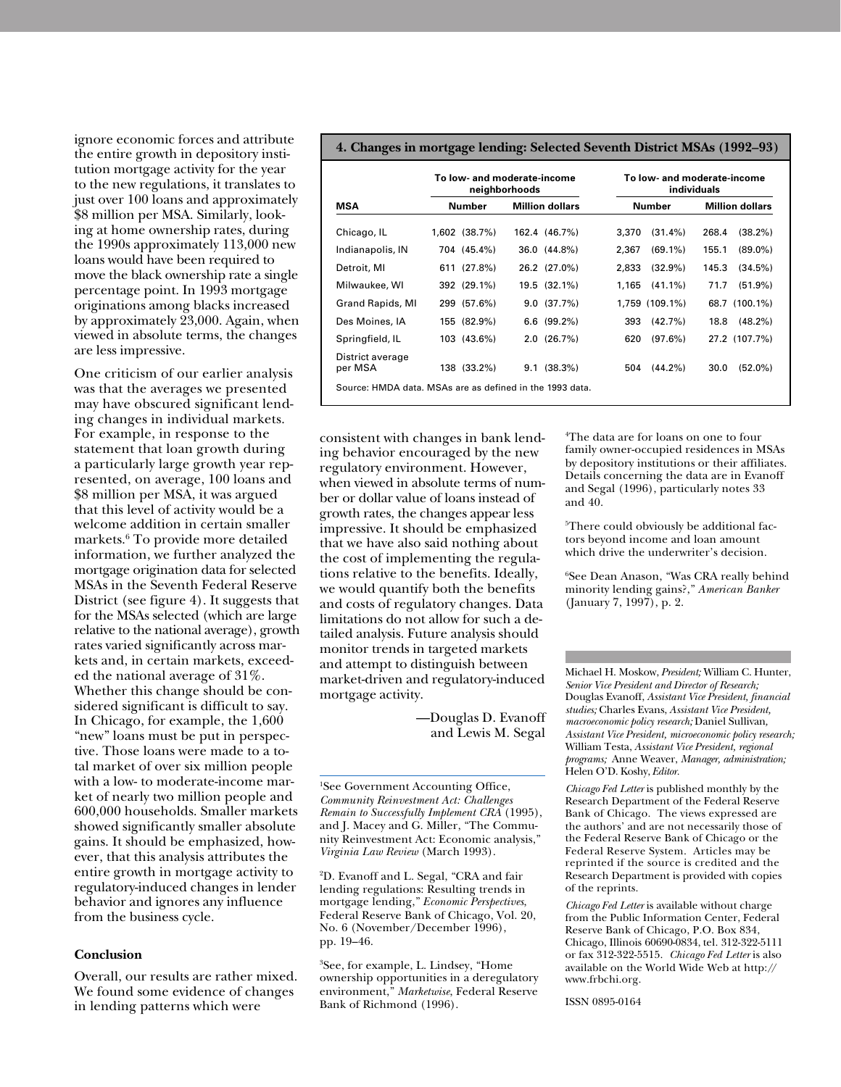ignore economic forces and attribute the entire growth in depository institution mortgage activity for the year to the new regulations, it translates to just over 100 loans and approximately \$8 million per MSA. Similarly, looking at home ownership rates, during the 1990s approximately 113,000 new loans would have been required to move the black ownership rate a single percentage point. In 1993 mortgage originations among blacks increased by approximately 23,000. Again, when viewed in absolute terms, the changes are less impressive.

One criticism of our earlier analysis was that the averages we presented may have obscured significant lending changes in individual markets. For example, in response to the statement that loan growth during a particularly large growth year represented, on average, 100 loans and \$8 million per MSA, it was argued that this level of activity would be a welcome addition in certain smaller markets.6 To provide more detailed information, we further analyzed the mortgage origination data for selected MSAs in the Seventh Federal Reserve District (see figure 4). It suggests that for the MSAs selected (which are large relative to the national average), growth rates varied significantly across markets and, in certain markets, exceeded the national average of 31%. Whether this change should be considered significant is difficult to say. In Chicago, for example, the 1,600 "new" loans must be put in perspective. Those loans were made to a total market of over six million people with a low- to moderate-income market of nearly two million people and 600,000 households. Smaller markets showed significantly smaller absolute gains. It should be emphasized, however, that this analysis attributes the entire growth in mortgage activity to regulatory-induced changes in lender behavior and ignores any influence from the business cycle.

## **Conclusion**

Overall, our results are rather mixed. We found some evidence of changes in lending patterns which were

## **4. Changes in mortgage lending: Selected Seventh District MSAs (1992–93)**

| MSA                         | To low- and moderate-income<br>neighborhoods |                        | To low- and moderate-income<br>individuals |                        |
|-----------------------------|----------------------------------------------|------------------------|--------------------------------------------|------------------------|
|                             | Number                                       | <b>Million dollars</b> | <b>Number</b>                              | <b>Million dollars</b> |
| Chicago, IL                 | 1,602 (38.7%)                                | 162.4 (46.7%)          | $(31.4\%)$<br>3,370                        | 268.4<br>$(38.2\%)$    |
| Indianapolis, IN            | 704 (45.4%)                                  | 36.0 (44.8%)           | 2.367<br>$(69.1\%)$                        | 155.1<br>$(89.0\%)$    |
| Detroit, MI                 | 611 (27.8%)                                  | 26.2 (27.0%)           | $(32.9\%)$<br>2.833                        | 145.3<br>(34.5%)       |
| Milwaukee, WI               | 392 (29.1%)                                  | 19.5 (32.1%)           | 1,165<br>$(41.1\%)$                        | $(51.9\%)$<br>71.7     |
| Grand Rapids, MI            | 299 (57.6%)                                  | 9.0(37.7%)             | 1,759 (109.1%)                             | 68.7 (100.1%)          |
| Des Moines, IA              | 155 (82.9%)                                  | $6.6$ (99.2%)          | 393<br>$(42.7\%)$                          | 18.8<br>$(48.2\%)$     |
| Springfield, IL             | 103 (43.6%)                                  | 2.0(26.7%)             | 620<br>(97.6%)                             | 27.2 (107.7%)          |
| District average<br>per MSA | 138 (33.2%)                                  | $(38.3\%)$<br>9.1      | 504<br>$(44.2\%)$                          | $(52.0\%)$<br>30.0     |

consistent with changes in bank lending behavior encouraged by the new regulatory environment. However, when viewed in absolute terms of number or dollar value of loans instead of growth rates, the changes appear less impressive. It should be emphasized that we have also said nothing about the cost of implementing the regulations relative to the benefits. Ideally, we would quantify both the benefits and costs of regulatory changes. Data limitations do not allow for such a detailed analysis. Future analysis should monitor trends in targeted markets and attempt to distinguish between market-driven and regulatory-induced mortgage activity.

> —Douglas D. Evanoff and Lewis M. Segal

1 See Government Accounting Office, *Community Reinvestment Act: Challenges Remain to Successfully Implement CRA* (1995), and J. Macey and G. Miller, "The Community Reinvestment Act: Economic analysis," *Virginia Law Review* (March 1993).

2 D. Evanoff and L. Segal, "CRA and fair lending regulations: Resulting trends in mortgage lending," *Economic Perspectives*, Federal Reserve Bank of Chicago, Vol. 20, No. 6 (November/December 1996), pp. 19–46.

3 See, for example, L. Lindsey, "Home ownership opportunities in a deregulatory environment," *Marketwise*, Federal Reserve Bank of Richmond (1996).

4 The data are for loans on one to four family owner-occupied residences in MSAs by depository institutions or their affiliates. Details concerning the data are in Evanoff and Segal (1996), particularly notes 33 and 40.

5 There could obviously be additional factors beyond income and loan amount which drive the underwriter's decision.

6 See Dean Anason, "Was CRA really behind minority lending gains?," *American Banker* (January 7, 1997), p. 2.

Michael H. Moskow, *President;* William C. Hunter, *Senior Vice President and Director of Research;* Douglas Evanoff, *Assistant Vice President, financial studies;* Charles Evans, *Assistant Vice President, macroeconomic policy research;* Daniel Sullivan*, Assistant Vice President, microeconomic policy research;* William Testa, *Assistant Vice President, regional programs;* Anne Weaver, *Manager, administration;* Helen O'D. Koshy, *Editor.*

*Chicago Fed Letter* is published monthly by the Research Department of the Federal Reserve Bank of Chicago. The views expressed are the authors' and are not necessarily those of the Federal Reserve Bank of Chicago or the Federal Reserve System. Articles may be reprinted if the source is credited and the Research Department is provided with copies of the reprints.

*Chicago Fed Letter* is available without charge from the Public Information Center, Federal Reserve Bank of Chicago, P.O. Box 834, Chicago, Illinois 60690-0834, tel. 312-322-5111 or fax 312-322-5515. *Chicago Fed Letter* is also available on the World Wide Web at http:// www.frbchi.org.

ISSN 0895-0164